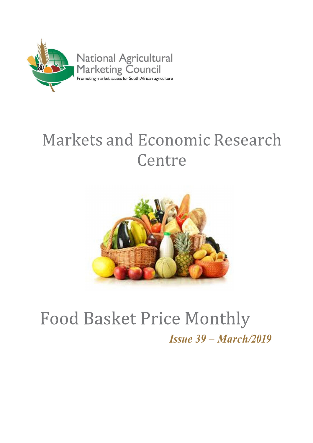

# **Markets and Economic Research** Centre



## **Food Basket Price Monthly** Issue 39 – March/2019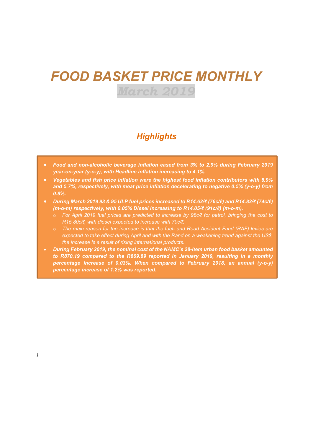## FOOD BASKET PRICE MONTHLY March 2019

### **Highlights**

- Food and non-alcoholic beverage inflation eased from 3% to 2.9% during February 2019 year-on-year (y-o-y), with Headline inflation increasing to 4.1%.
- Vegetables and fish price inflation were the highest food inflation contributors with 8.9% and 5.7%, respectively, with meat price inflation decelerating to negative 0.5% (y-o-y) from 0.8%.
- During March 2019 93 & 95 ULP fuel prices increased to R14.62/ℓ (76c/ℓ) and R14.82/ℓ (74c/ℓ) (m-o-m) respectively, with 0.05% Diesel increasing to R14.05/ℓ (91c/ℓ) (m-o-m).
	- o For April 2019 fuel prices are predicted to increase by 98c/ℓ for petrol, bringing the cost to R15.80c/ℓ, with diesel expected to increase with 70c/ℓ.
	- $\circ$  The main reason for the increase is that the fuel- and Road Accident Fund (RAF) levies are expected to take effect during April and with the Rand on a weakening trend against the US\$, the increase is a result of rising international products.
- During February 2019, the nominal cost of the NAMC's 28-item urban food basket amounted to R870.19 compared to the R869.89 reported in January 2019, resulting in a monthly percentage increase of 0.03%. When compared to February 2018, an annual (y-o-y) percentage increase of 1.2% was reported.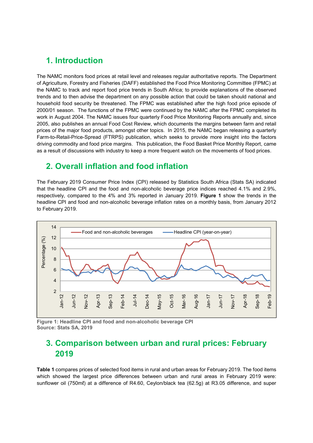#### 1. Introduction

The NAMC monitors food prices at retail level and releases regular authoritative reports. The Department of Agriculture, Forestry and Fisheries (DAFF) established the Food Price Monitoring Committee (FPMC) at the NAMC to track and report food price trends in South Africa; to provide explanations of the observed trends and to then advise the department on any possible action that could be taken should national and household food security be threatened. The FPMC was established after the high food price episode of 2000/01 season. The functions of the FPMC were continued by the NAMC after the FPMC completed its work in August 2004. The NAMC issues four quarterly Food Price Monitoring Reports annually and, since 2005, also publishes an annual Food Cost Review, which documents the margins between farm and retail prices of the major food products, amongst other topics. In 2015, the NAMC began releasing a quarterly Farm-to-Retail-Price-Spread (FTRPS) publication, which seeks to provide more insight into the factors driving commodity and food price margins. This publication, the Food Basket Price Monthly Report, came as a result of discussions with industry to keep a more frequent watch on the movements of food prices.

#### 2. Overall inflation and food inflation

The February 2019 Consumer Price Index (CPI) released by Statistics South Africa (Stats SA) indicated that the headline CPI and the food and non-alcoholic beverage price indices reached 4.1% and 2.9%, respectively, compared to the 4% and 3% reported in January 2019. Figure 1 show the trends in the headline CPI and food and non-alcoholic beverage inflation rates on a monthly basis, from January 2012 to February 2019.



Figure 1: Headline CPI and food and non-alcoholic beverage CPI Source: Stats SA, 2019

## 3. Comparison between urban and rural prices: February 2019

Table 1 compares prices of selected food items in rural and urban areas for February 2019. The food items which showed the largest price differences between urban and rural areas in February 2019 were: sunflower oil (750mℓ) at a difference of R4.60, Ceylon/black tea (62.5g) at R3.05 difference, and super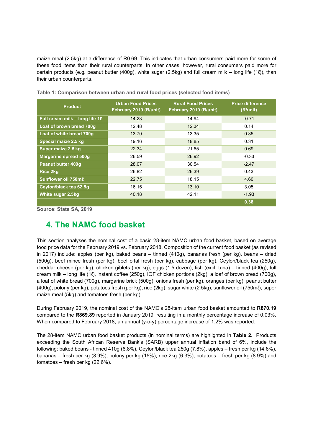maize meal (2.5kg) at a difference of R0.69. This indicates that urban consumers paid more for some of these food items than their rural counterparts. In other cases, however, rural consumers paid more for certain products (e.g. peanut butter (400g), white sugar (2.5kg) and full cream milk – long life (1ℓ)), than their urban counterparts.

| <b>Product</b>                 | <b>Urban Food Prices</b><br>February 2019 (R/unit) | <b>Rural Food Prices</b><br>February 2019 (R/unit) | <b>Price difference</b><br>(R/unit) |  |
|--------------------------------|----------------------------------------------------|----------------------------------------------------|-------------------------------------|--|
| Full cream milk - long life 18 | 14.23                                              | 14.94                                              | $-0.71$                             |  |
| Loaf of brown bread 700q       | 12.48                                              | 12.34                                              | 0.14                                |  |
| Loaf of white bread 700g       | 13.70                                              | 13.35                                              | 0.35                                |  |
| Special maize 2.5 kg           | 19.16                                              | 18.85                                              | 0.31                                |  |
| Super maize 2.5 kg             | 22.34                                              | 21.65                                              | 0.69                                |  |
| Margarine spread 500g          | 26.59                                              | 26.92                                              | $-0.33$                             |  |
| <b>Peanut butter 400g</b>      | 28.07                                              | 30.54                                              | $-2.47$                             |  |
| <b>Rice 2kg</b>                | 26.82                                              | 26.39                                              | 0.43                                |  |
| Sunflower oil 750me            | 22.75                                              | 18.15                                              | 4.60                                |  |
| Ceylon/black tea 62.5q         | 16.15                                              | 13.10                                              | 3.05                                |  |
| White sugar 2.5kg              | 40.18                                              | 42.11<br>$-1.93$                                   |                                     |  |
|                                |                                                    |                                                    | 0.38                                |  |

Table 1: Comparison between urban and rural food prices (selected food items)

Source: Stats SA, 2019

### 4. The NAMC food basket

This section analyses the nominal cost of a basic 28-item NAMC urban food basket, based on average food price data for the February 2019 vs. February 2018. Composition of the current food basket (as revised in 2017) include: apples (per kg), baked beans – tinned (410g), bananas fresh (per kg), beans – dried (500g), beef mince fresh (per kg), beef offal fresh (per kg), cabbage (per kg), Ceylon/black tea (250g), cheddar cheese (per kg), chicken giblets (per kg), eggs (1.5 dozen), fish (excl. tuna) – tinned (400g), full cream milk – long life (1ℓ), instant coffee (250g), IQF chicken portions (2kg), a loaf of brown bread (700g), a loaf of white bread (700g), margarine brick (500g), onions fresh (per kg), oranges (per kg), peanut butter (400g), polony (per kg), potatoes fresh (per kg), rice (2kg), sugar white (2.5kg), sunflower oil (750mℓ), super maize meal (5kg) and tomatoes fresh (per kg).

During February 2019, the nominal cost of the NAMC's 28-item urban food basket amounted to R870.19 compared to the R869.89 reported in January 2019, resulting in a monthly percentage increase of 0.03%. When compared to February 2018, an annual (y-o-y) percentage increase of 1.2% was reported.

The 28-item NAMC urban food basket products (in nominal terms) are highlighted in Table 2. Products exceeding the South African Reserve Bank's (SARB) upper annual inflation band of 6%, include the following: baked beans - tinned 410g (6.8%), Ceylon/black tea 250g (7.8%), apples – fresh per kg (14.6%), bananas – fresh per kg (8.9%), polony per kg (15%), rice 2kg (6.3%), potatoes – fresh per kg (8.9%) and tomatoes – fresh per kg (22.6%).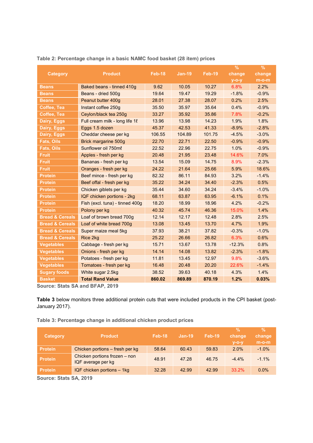|                            |                                     |        |               |               | $\%$     | $\%$     |
|----------------------------|-------------------------------------|--------|---------------|---------------|----------|----------|
| Category                   | <b>Product</b>                      | Feb-18 | <b>Jan-19</b> | <b>Feb-19</b> | change   | change   |
|                            |                                     |        |               |               | $y$ -o-y | $m$ -o-m |
| <b>Beans</b>               | Baked beans - tinned 410q           | 9.62   | 10.05         | 10.27         | 6.8%     | 2.2%     |
| <b>Beans</b>               | Beans - dried 500g                  | 19.64  | 19.47         | 19.29         | $-1.8%$  | $-0.9%$  |
| <b>Beans</b>               | Peanut butter 400g                  | 28.01  | 27.38         | 28.07         | 0.2%     | 2.5%     |
| <b>Coffee, Tea</b>         | Instant coffee 250g                 | 35.50  | 35.97         | 35.64         | 0.4%     | $-0.9%$  |
| Coffee, Tea                | Ceylon/black tea 250g               | 33.27  | 35.92         | 35.86         | 7.8%     | $-0.2%$  |
| <b>Dairy, Eggs</b>         | Full cream milk - long life $1\ell$ | 13.96  | 13.98         | 14.23         | 1.9%     | 1.8%     |
| <b>Dairy, Eggs</b>         | Eggs 1.5 dozen                      | 45.37  | 42.53         | 41.33         | $-8.9%$  | $-2.8%$  |
| Dairy, Eggs                | Cheddar cheese per kg               | 106.55 | 104.89        | 101.75        | $-4.5%$  | $-3.0%$  |
| <b>Fats, Oils</b>          | Brick margarine 500g                | 22.70  | 22.71         | 22.50         | $-0.9%$  | $-0.9%$  |
| <b>Fats, Oils</b>          | Sunflower oil 750ml                 | 22.52  | 22.96         | 22.75         | 1.0%     | $-0.9%$  |
| <b>Fruit</b>               | Apples - fresh per kg               | 20.48  | 21.95         | 23.48         | 14.6%    | 7.0%     |
| <b>Fruit</b>               | Bananas - fresh per kg              | 13.54  | 15.09         | 14.75         | 8.9%     | $-2.3%$  |
| <b>Fruit</b>               | Oranges - fresh per kg              | 24.22  | 21.64         | 25.66         | 5.9%     | 18.6%    |
| <b>Protein</b>             | Beef mince - fresh per kg           | 82.32  | 86.11         | 84.93         | 3.2%     | $-1.4%$  |
| <b>Protein</b>             | Beef offal - fresh per kg           | 35.22  | 34.24         | 34.40         | $-2.3%$  | 0.5%     |
| <b>Protein</b>             | Chicken giblets per kg              | 35.44  | 34.60         | 34.24         | $-3.4%$  | $-1.0%$  |
| <b>Protein</b>             | IQF chicken portions - 2kg          | 68.11  | 63.87         | 63.95         | $-6.1%$  | 0.1%     |
| <b>Protein</b>             | Fish (excl. tuna) - tinned 400g     | 18.20  | 18.99         | 18.96         | 4.2%     | $-0.2%$  |
| <b>Protein</b>             | Polony per kg                       | 40.32  | 45.74         | 46.36         | 15.0%    | 1.4%     |
| <b>Bread &amp; Cereals</b> | Loaf of brown bread 700g            | 12.14  | 12.17         | 12.48         | 2.8%     | 2.5%     |
| <b>Bread &amp; Cereals</b> | Loaf of white bread 700g            | 13.08  | 13.45         | 13.70         | 4.7%     | 1.9%     |
| <b>Bread &amp; Cereals</b> | Super maize meal 5kg                | 37.93  | 38.21         | 37.82         | $-0.3%$  | $-1.0%$  |
| <b>Bread &amp; Cereals</b> | Rice 2kg                            | 25.22  | 26.66         | 26.82         | 6.3%     | 0.6%     |
| <b>Vegetables</b>          | Cabbage - fresh per kg              | 15.71  | 13.67         | 13.78         | $-12.3%$ | 0.8%     |
| <b>Vegetables</b>          | Onions - fresh per kg               | 14.14  | 14.08         | 13.82         | $-2.3%$  | $-1.8%$  |
| <b>Vegetables</b>          | Potatoes - fresh per kg             | 11.81  | 13.45         | 12.97         | 9.8%     | $-3.6%$  |
| <b>Vegetables</b>          | Tomatoes - fresh per kg             | 16.48  | 20.48         | 20.20         | 22.6%    | $-1.4%$  |
| <b>Sugary foods</b>        | White sugar 2.5kg                   | 38.52  | 39.63         | 40.18         | 4.3%     | 1.4%     |
| <b>Basket</b>              | <b>Total Rand Value</b>             | 860.02 | 869.89        | 870.19        | 1.2%     | 0.03%    |

#### Table 2: Percentage change in a basic NAMC food basket (28 item) prices

Source: Stats SA and BFAP, 2019

Table 3 below monitors three additional protein cuts that were included products in the CPI basket (post-January 2017).

Table 3: Percentage change in additional chicken product prices

| <b>Category</b> | <b>Product</b>                                      | Feb-18 | $Jan-19$ | <b>Feb-19</b> | $\frac{9}{6}$<br>change<br>$V-O-V$ | $\%$<br>change<br>$m-o-m$ |
|-----------------|-----------------------------------------------------|--------|----------|---------------|------------------------------------|---------------------------|
| <b>Protein</b>  | Chicken portions - fresh per kg                     | 58.64  | 60.43    | 59.83         | 2.0%                               | $-1.0%$                   |
| <b>Protein</b>  | Chicken portions frozen - non<br>IQF average per kg | 48.91  | 47.28    | 46.75         | $-4.4\%$                           | $-1.1\%$                  |
| <b>Protein</b>  | IQF chicken portions $-$ 1kg                        | 32.28  | 42.99    | 42.99         | 33.2%                              | $0.0\%$                   |

Source: Stats SA, 2019